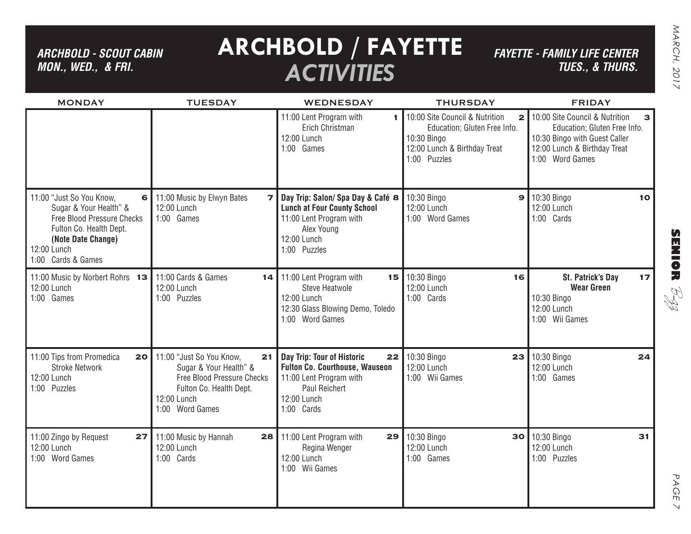*ARCHBOLD - SCOUT CABIN MON., WED., & FRI.*

## **ARCHBOLD / FAYETTE** *ACTIVITIES*

*FAYETTE - FAMILY LIFE CENTER TUES., & THURS.*

| <b>MONDAY</b>                                                                                                                                                               | <b>TUESDAY</b>                                                                                                                                      | <b>WEDNESDAY</b>                                                                                                                                          | <b>THURSDAY</b>                                                                                                                               | <b>FRIDAY</b>                                                                                                                                           |
|-----------------------------------------------------------------------------------------------------------------------------------------------------------------------------|-----------------------------------------------------------------------------------------------------------------------------------------------------|-----------------------------------------------------------------------------------------------------------------------------------------------------------|-----------------------------------------------------------------------------------------------------------------------------------------------|---------------------------------------------------------------------------------------------------------------------------------------------------------|
|                                                                                                                                                                             |                                                                                                                                                     | 11:00 Lent Program with<br>1.<br>Erich Christman<br>12:00 Lunch<br>1:00 Games                                                                             | 10:00 Site Council & Nutrition<br>$\mathbf{2}$<br>Education; Gluten Free Info.<br>10:30 Bingo<br>12:00 Lunch & Birthday Treat<br>1:00 Puzzles | 10:00 Site Council & Nutrition<br>з<br>Education; Gluten Free Info.<br>10:30 Bingo with Guest Caller<br>12:00 Lunch & Birthday Treat<br>1:00 Word Games |
| 11:00 "Just So You Know,<br>6<br>Sugar & Your Health" &<br>Free Blood Pressure Checks<br>Fulton Co. Health Dept.<br>(Note Date Change)<br>12:00 Lunch<br>1:00 Cards & Games | 11:00 Music by Elwyn Bates<br>71<br>12:00 Lunch<br>1:00 Games                                                                                       | Day Trip: Salon/ Spa Day & Café 8<br><b>Lunch at Four County School</b><br>11:00 Lent Program with<br>Alex Young<br>12:00 Lunch<br>1:00 Puzzles           | 10:30 Bingo<br>$\mathbf{9}$<br>12:00 Lunch<br>1:00 Word Games                                                                                 | 10:30 Bingo<br>10<br>12:00 Lunch<br>1:00 Cards                                                                                                          |
| 11:00 Music by Norbert Rohrs 13<br>12:00 Lunch<br>1:00 Games                                                                                                                | 11:00 Cards & Games<br>14 <sub>1</sub><br>12:00 Lunch<br>1:00 Puzzles                                                                               | 11:00 Lent Program with<br>15 <sup>1</sup><br>Steve Heatwole<br>12:00 Lunch<br>12:30 Glass Blowing Demo, Toledo<br>1:00 Word Games                        | 10:30 Bingo<br>16<br>12:00 Lunch<br>1:00 Cards                                                                                                | St. Patrick's Day<br>17<br><b>Wear Green</b><br>10:30 Bingo<br>12:00 Lunch<br>1:00 Wii Games                                                            |
| 11:00 Tips from Promedica<br>20<br><b>Stroke Network</b><br>12:00 Lunch<br>1:00 Puzzles                                                                                     | 11:00 "Just So You Know,<br>21<br>Sugar & Your Health" &<br>Free Blood Pressure Checks<br>Fulton Co. Health Dept.<br>12:00 Lunch<br>1:00 Word Games | Day Trip: Tour of Historic<br>22<br><b>Fulton Co. Courthouse, Wauseon</b><br>11:00 Lent Program with<br><b>Paul Reichert</b><br>12:00 Lunch<br>1:00 Cards | 10:30 Bingo<br>23<br>12:00 Lunch<br>1:00 Wii Games                                                                                            | 10:30 Bingo<br>24<br>12:00 Lunch<br>1:00 Games                                                                                                          |
| 11:00 Zingo by Request<br>27<br>12:00 Lunch<br>1:00 Word Games                                                                                                              | 11:00 Music by Hannah<br>28<br>12:00 Lunch<br>1:00 Cards                                                                                            | 11:00 Lent Program with<br>29<br>Regina Wenger<br>12:00 Lunch<br>1:00 Wii Games                                                                           | 10:30 Bingo<br>30<br>12:00 Lunch<br>1:00 Games                                                                                                | 10:30 Bingo<br>31<br>12:00 Lunch<br>1:00 Puzzles                                                                                                        |

**SENIOR** B-zz

> PAGE PAGE 7  $\overline{\mathcal{L}}$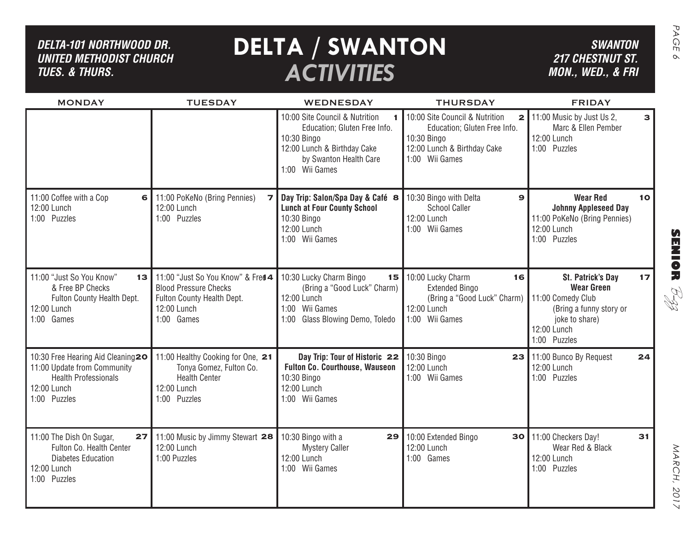### *DELTA-101 Northwood dr. United methodist church TUES. & THURS.*

# **DELTA / SWANTON** SWANTON *ACTIVITIES*

*SWANTON 217 CHESTNUT ST. MON., WED., & FRI*

| <b>MONDAY</b>                                                                                                                              | <b>TUESDAY</b>                                                                                                               | WEDNESDAY                                                                                                                                                | <b>THURSDAY</b>                                                                                                                                | <b>FRIDAY</b>                                                                                                                                 |
|--------------------------------------------------------------------------------------------------------------------------------------------|------------------------------------------------------------------------------------------------------------------------------|----------------------------------------------------------------------------------------------------------------------------------------------------------|------------------------------------------------------------------------------------------------------------------------------------------------|-----------------------------------------------------------------------------------------------------------------------------------------------|
|                                                                                                                                            |                                                                                                                              | 10:00 Site Council & Nutrition<br>Education; Gluten Free Info.<br>10:30 Bingo<br>12:00 Lunch & Birthday Cake<br>by Swanton Health Care<br>1:00 Wii Games | 10:00 Site Council & Nutrition<br>$\mathbf{2}$<br>Education; Gluten Free Info.<br>10:30 Bingo<br>12:00 Lunch & Birthday Cake<br>1:00 Wii Games | 11:00 Music by Just Us 2,<br>$\mathbf{B}$<br>Marc & Ellen Pember<br>12:00 Lunch<br>1:00 Puzzles                                               |
| 11:00 Coffee with a Cop<br>6<br>12:00 Lunch<br>1:00 Puzzles                                                                                | 11:00 PoKeNo (Bring Pennies)<br>12:00 Lunch<br>1:00 Puzzles                                                                  | Day Trip: Salon/Spa Day & Café 8<br><b>Lunch at Four County School</b><br>10:30 Bingo<br>12:00 Lunch<br>1:00 Wii Games                                   | 10:30 Bingo with Delta<br>$\mathbf{9}$<br><b>School Caller</b><br>12:00 Lunch<br>1:00 Wii Games                                                | <b>Wear Red</b><br>10<br><b>Johnny Appleseed Day</b><br>11:00 PoKeNo (Bring Pennies)<br>12:00 Lunch<br>1:00 Puzzles                           |
| 11:00 "Just So You Know"<br>13<br>& Free BP Checks<br>Fulton County Health Dept.<br>12:00 Lunch<br>1:00 Games                              | 11:00 "Just So You Know" & Fred 4<br><b>Blood Pressure Checks</b><br>Fulton County Health Dept.<br>12:00 Lunch<br>1:00 Games | 10:30 Lucky Charm Bingo<br>15<br>(Bring a "Good Luck" Charm)<br>12:00 Lunch<br>Wii Games<br>1:00<br>Glass Blowing Demo, Toledo<br>1:00                   | 10:00 Lucky Charm<br>16<br><b>Extended Bingo</b><br>(Bring a "Good Luck" Charm)<br>12:00 Lunch<br>1:00 Wii Games                               | 17<br>St. Patrick's Day<br><b>Wear Green</b><br>11:00 Comedy Club<br>(Bring a funny story or<br>joke to share)<br>12:00 Lunch<br>1:00 Puzzles |
| 10:30 Free Hearing Aid Cleaning <sup>20</sup><br>11:00 Update from Community<br><b>Health Professionals</b><br>12:00 Lunch<br>1:00 Puzzles | 11:00 Healthy Cooking for One, 21<br>Tonya Gomez, Fulton Co.<br><b>Health Center</b><br>12:00 Lunch<br>1:00 Puzzles          | Day Trip: Tour of Historic 22<br><b>Fulton Co. Courthouse, Wauseon</b><br>10:30 Bingo<br>12:00 Lunch<br>1:00 Wii Games                                   | 10:30 Bingo<br>23<br>12:00 Lunch<br>1:00 Wii Games                                                                                             | 11:00 Bunco By Request<br>24<br>12:00 Lunch<br>1:00 Puzzles                                                                                   |
| 11:00 The Dish On Sugar,<br>27<br>Fulton Co. Health Center<br><b>Diabetes Education</b><br>12:00 Lunch<br>1:00 Puzzles                     | 11:00 Music by Jimmy Stewart 28<br>12:00 Lunch<br>1:00 Puzzles                                                               | 10:30 Bingo with a<br>29<br><b>Mystery Caller</b><br>12:00 Lunch<br>1:00 Wii Games                                                                       | 10:00 Extended Bingo<br>30<br>12:00 Lunch<br>1:00 Games                                                                                        | 11:00 Checkers Day!<br>31<br>Wear Red & Black<br>12:00 Lunch<br>1:00 Puzzles                                                                  |

MARCH, 2017